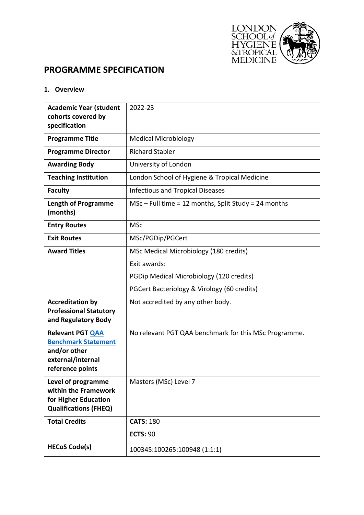

# **PROGRAMME SPECIFICATION**

## **1. Overview**

| <b>Academic Year (student</b><br>cohorts covered by<br>specification                                           | 2022-23                                                |  |  |  |
|----------------------------------------------------------------------------------------------------------------|--------------------------------------------------------|--|--|--|
| <b>Programme Title</b>                                                                                         | <b>Medical Microbiology</b>                            |  |  |  |
| <b>Programme Director</b>                                                                                      | <b>Richard Stabler</b>                                 |  |  |  |
| <b>Awarding Body</b>                                                                                           | University of London                                   |  |  |  |
| <b>Teaching Institution</b>                                                                                    | London School of Hygiene & Tropical Medicine           |  |  |  |
| <b>Faculty</b>                                                                                                 | <b>Infectious and Tropical Diseases</b>                |  |  |  |
| <b>Length of Programme</b><br>(months)                                                                         | $MSc$ – Full time = 12 months, Split Study = 24 months |  |  |  |
| <b>Entry Routes</b>                                                                                            | <b>MSc</b>                                             |  |  |  |
| <b>Exit Routes</b>                                                                                             | MSc/PGDip/PGCert                                       |  |  |  |
| <b>Award Titles</b>                                                                                            | MSc Medical Microbiology (180 credits)                 |  |  |  |
|                                                                                                                | Exit awards:                                           |  |  |  |
|                                                                                                                | PGDip Medical Microbiology (120 credits)               |  |  |  |
|                                                                                                                | PGCert Bacteriology & Virology (60 credits)            |  |  |  |
| <b>Accreditation by</b><br><b>Professional Statutory</b><br>and Regulatory Body                                | Not accredited by any other body.                      |  |  |  |
| <b>Relevant PGT QAA</b><br><b>Benchmark Statement</b><br>and/or other<br>external/internal<br>reference points | No relevant PGT QAA benchmark for this MSc Programme.  |  |  |  |
| Level of programme<br>within the Framework<br>for Higher Education<br><b>Qualifications (FHEQ)</b>             | Masters (MSc) Level 7                                  |  |  |  |
| <b>Total Credits</b>                                                                                           | <b>CATS: 180</b>                                       |  |  |  |
|                                                                                                                | <b>ECTS: 90</b>                                        |  |  |  |
| <b>HECoS Code(s)</b>                                                                                           | 100345:100265:100948 (1:1:1)                           |  |  |  |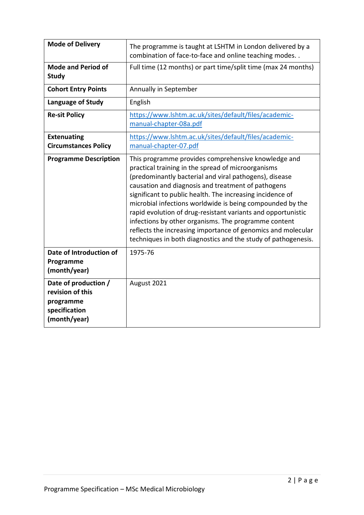| <b>Mode of Delivery</b>                                                                | The programme is taught at LSHTM in London delivered by a<br>combination of face-to-face and online teaching modes                                                                                                                                                                                                                                                                                                                                                                                                                                                                                           |  |  |  |
|----------------------------------------------------------------------------------------|--------------------------------------------------------------------------------------------------------------------------------------------------------------------------------------------------------------------------------------------------------------------------------------------------------------------------------------------------------------------------------------------------------------------------------------------------------------------------------------------------------------------------------------------------------------------------------------------------------------|--|--|--|
| <b>Mode and Period of</b><br><b>Study</b>                                              | Full time (12 months) or part time/split time (max 24 months)                                                                                                                                                                                                                                                                                                                                                                                                                                                                                                                                                |  |  |  |
| <b>Cohort Entry Points</b>                                                             | Annually in September                                                                                                                                                                                                                                                                                                                                                                                                                                                                                                                                                                                        |  |  |  |
| Language of Study                                                                      | English                                                                                                                                                                                                                                                                                                                                                                                                                                                                                                                                                                                                      |  |  |  |
| <b>Re-sit Policy</b>                                                                   | https://www.lshtm.ac.uk/sites/default/files/academic-<br>manual-chapter-08a.pdf                                                                                                                                                                                                                                                                                                                                                                                                                                                                                                                              |  |  |  |
| <b>Extenuating</b><br><b>Circumstances Policy</b>                                      | https://www.lshtm.ac.uk/sites/default/files/academic-<br>manual-chapter-07.pdf                                                                                                                                                                                                                                                                                                                                                                                                                                                                                                                               |  |  |  |
| <b>Programme Description</b>                                                           | This programme provides comprehensive knowledge and<br>practical training in the spread of microorganisms<br>(predominantly bacterial and viral pathogens), disease<br>causation and diagnosis and treatment of pathogens<br>significant to public health. The increasing incidence of<br>microbial infections worldwide is being compounded by the<br>rapid evolution of drug-resistant variants and opportunistic<br>infections by other organisms. The programme content<br>reflects the increasing importance of genomics and molecular<br>techniques in both diagnostics and the study of pathogenesis. |  |  |  |
| Date of Introduction of<br>Programme<br>(month/year)                                   | 1975-76                                                                                                                                                                                                                                                                                                                                                                                                                                                                                                                                                                                                      |  |  |  |
| Date of production /<br>revision of this<br>programme<br>specification<br>(month/year) | August 2021                                                                                                                                                                                                                                                                                                                                                                                                                                                                                                                                                                                                  |  |  |  |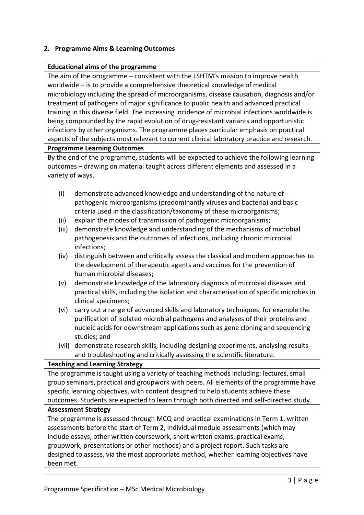## **2. Programme Aims & Learning Outcomes**

## **Educational aims of the programme**

The aim of the programme – consistent with the LSHTM's mission to improve health worldwide – is to provide a comprehensive theoretical knowledge of medical microbiology including the spread of microorganisms, disease causation, diagnosis and/or treatment of pathogens of major significance to public health and advanced practical training in this diverse field. The increasing incidence of microbial infections worldwide is being compounded by the rapid evolution of drug-resistant variants and opportunistic infections by other organisms. The programme places particular emphasis on practical aspects of the subjects most relevant to current clinical laboratory practice and research.

#### **Programme Learning Outcomes**

By the end of the programme, students will be expected to achieve the following learning outcomes – drawing on material taught across different elements and assessed in a variety of ways.

- (i) demonstrate advanced knowledge and understanding of the nature of pathogenic microorganisms (predominantly viruses and bacteria) and basic criteria used in the classification/taxonomy of these microorganisms;
- (ii) explain the modes of transmission of pathogenic microorganisms;
- (iii) demonstrate knowledge and understanding of the mechanisms of microbial pathogenesis and the outcomes of infections, including chronic microbial infections;
- (iv) distinguish between and critically assess the classical and modern approaches to the development of therapeutic agents and vaccines for the prevention of human microbial diseases;
- (v) demonstrate knowledge of the laboratory diagnosis of microbial diseases and practical skills, including the isolation and characterisation of specific microbes in clinical specimens;
- (vi) carry out a range of advanced skills and laboratory techniques, for example the purification of isolated microbial pathogens and analyses of their proteins and nucleic acids for downstream applications such as gene cloning and sequencing studies; and
- (vii) demonstrate research skills, including designing experiments, analysing results and troubleshooting and critically assessing the scientific literature.

## **Teaching and Learning Strategy**

The programme is taught using a variety of teaching methods including: lectures, small group seminars, practical and groupwork with peers. All elements of the programme have specific learning objectives, with content designed to help students achieve these outcomes. Students are expected to learn through both directed and self-directed study.

## **Assessment Strategy**

The programme is assessed through MCQ and practical examinations in Term 1, written assessments before the start of Term 2, individual module assessments (which may include essays, other written coursework, short written exams, practical exams, groupwork, presentations or other methods) and a project report. Such tasks are designed to assess, via the most appropriate method, whether learning objectives have been met.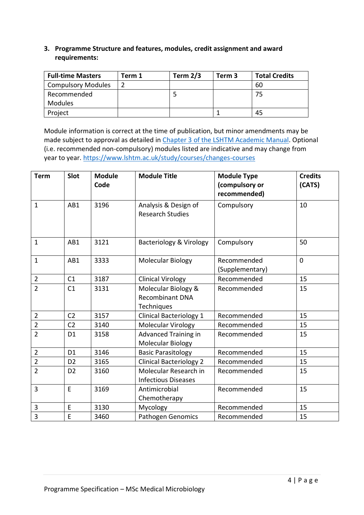## **3. Programme Structure and features, modules, credit assignment and award requirements:**

| <b>Full-time Masters</b>  | Term 1 | Term $2/3$ | Term 3 | <b>Total Credits</b> |
|---------------------------|--------|------------|--------|----------------------|
| <b>Compulsory Modules</b> |        |            |        | 60                   |
| Recommended               |        |            |        | 75                   |
| <b>Modules</b>            |        |            |        |                      |
| Project                   |        |            |        | 45                   |

Module information is correct at the time of publication, but minor amendments may be made subject to approval as detailed in [Chapter 3 of the LSHTM Academic Manual.](https://www.lshtm.ac.uk/sites/default/files/academic-manual-chapter-03.pdf) Optional (i.e. recommended non-compulsory) modules listed are indicative and may change from year to year.<https://www.lshtm.ac.uk/study/courses/changes-courses>

| <b>Term</b>    | Slot           | <b>Module</b><br>Code | <b>Module Title</b>                                         | <b>Module Type</b><br>(compulsory or<br>recommended) | <b>Credits</b><br>(CATS) |
|----------------|----------------|-----------------------|-------------------------------------------------------------|------------------------------------------------------|--------------------------|
| $\mathbf{1}$   | AB1            | 3196                  | Analysis & Design of<br><b>Research Studies</b>             | Compulsory                                           | 10                       |
| $\mathbf{1}$   | AB1            | 3121                  | <b>Bacteriology &amp; Virology</b><br>Compulsory            |                                                      | 50                       |
| $\mathbf{1}$   | AB1            | 3333                  | <b>Molecular Biology</b>                                    | Recommended<br>(Supplementary)                       | $\Omega$                 |
| $\overline{2}$ | C1             | 3187                  | <b>Clinical Virology</b>                                    | Recommended                                          | 15                       |
| $\overline{2}$ | C1             | 3131                  | Molecular Biology &<br><b>Recombinant DNA</b><br>Techniques | Recommended                                          | 15                       |
| $\overline{2}$ | C <sub>2</sub> | 3157                  | <b>Clinical Bacteriology 1</b>                              | Recommended                                          | 15                       |
| $\overline{2}$ | C <sub>2</sub> | 3140                  | Molecular Virology                                          | Recommended                                          | 15                       |
| $\overline{2}$ | D <sub>1</sub> | 3158                  | <b>Advanced Training in</b><br>Molecular Biology            | Recommended                                          | 15                       |
| $\overline{2}$ | D <sub>1</sub> | 3146                  | <b>Basic Parasitology</b>                                   | Recommended                                          | 15                       |
| $\overline{2}$ | D <sub>2</sub> | 3165                  | <b>Clinical Bacteriology 2</b>                              | Recommended                                          | 15                       |
| $\overline{2}$ | D <sub>2</sub> | 3160                  | Molecular Research in<br><b>Infectious Diseases</b>         | Recommended                                          | 15                       |
| 3              | E              | 3169                  | Antimicrobial<br>Chemotherapy                               | Recommended                                          | 15                       |
| 3              | E              | 3130                  | Mycology                                                    | Recommended                                          | 15                       |
| $\overline{3}$ | E              | 3460                  | <b>Pathogen Genomics</b>                                    | Recommended                                          | 15                       |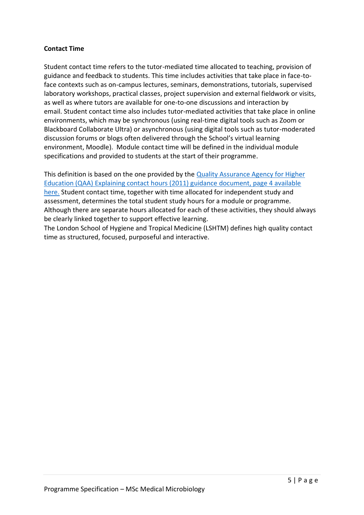## **Contact Time**

Student contact time refers to the tutor-mediated time allocated to teaching, provision of guidance and feedback to students. This time includes activities that take place in face-toface contexts such as on-campus lectures, seminars, demonstrations, tutorials, supervised laboratory workshops, practical classes, project supervision and external fieldwork or visits, as well as where tutors are available for one-to-one discussions and interaction by email. Student contact time also includes tutor-mediated activities that take place in online environments, which may be synchronous (using real-time digital tools such as Zoom or Blackboard Collaborate Ultra) or asynchronous (using digital tools such as tutor-moderated discussion forums or blogs often delivered through the School's virtual learning environment, Moodle). Module contact time will be defined in the individual module specifications and provided to students at the start of their programme.

This definition is based on the one provided by the [Quality Assurance Agency for Higher](https://www.qaa.ac.uk/docs/qaa/quality-code/contact-hours-guidance.pdf)  [Education \(QAA\) Explaining contact hours \(2011\) guidance document, page 4 available](https://www.qaa.ac.uk/docs/qaa/quality-code/contact-hours-guidance.pdf)  [here.](https://www.qaa.ac.uk/docs/qaa/quality-code/contact-hours-guidance.pdf) Student contact time, together with time allocated for independent study and assessment, determines the total student study hours for a module or programme. Although there are separate hours allocated for each of these activities, they should always be clearly linked together to support effective learning.

The London School of Hygiene and Tropical Medicine (LSHTM) defines high quality contact time as structured, focused, purposeful and interactive.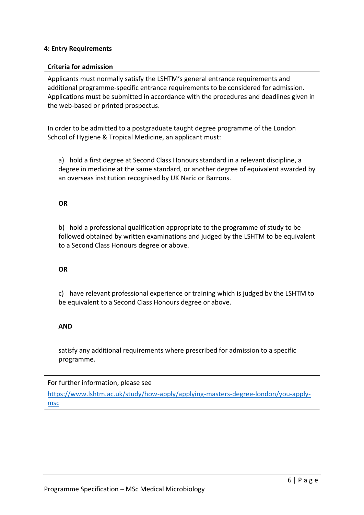## **4: Entry Requirements**

#### **Criteria for admission**

Applicants must normally satisfy the LSHTM's general entrance requirements and additional programme-specific entrance requirements to be considered for admission. Applications must be submitted in accordance with the procedures and deadlines given in the web-based or printed prospectus.

In order to be admitted to a postgraduate taught degree programme of the London School of Hygiene & Tropical Medicine, an applicant must:

a) hold a first degree at Second Class Honours standard in a relevant discipline, a degree in medicine at the same standard, or another degree of equivalent awarded by an overseas institution recognised by UK Naric or Barrons.

## **OR**

b) hold a professional qualification appropriate to the programme of study to be followed obtained by written examinations and judged by the LSHTM to be equivalent to a Second Class Honours degree or above.

## **OR**

c) have relevant professional experience or training which is judged by the LSHTM to be equivalent to a Second Class Honours degree or above.

## **AND**

satisfy any additional requirements where prescribed for admission to a specific programme.

For further information, please see

[https://www.lshtm.ac.uk/study/how-apply/applying-masters-degree-london/you-apply](https://www.lshtm.ac.uk/study/how-apply/applying-masters-degree-london/you-apply-msc)[msc](https://www.lshtm.ac.uk/study/how-apply/applying-masters-degree-london/you-apply-msc)